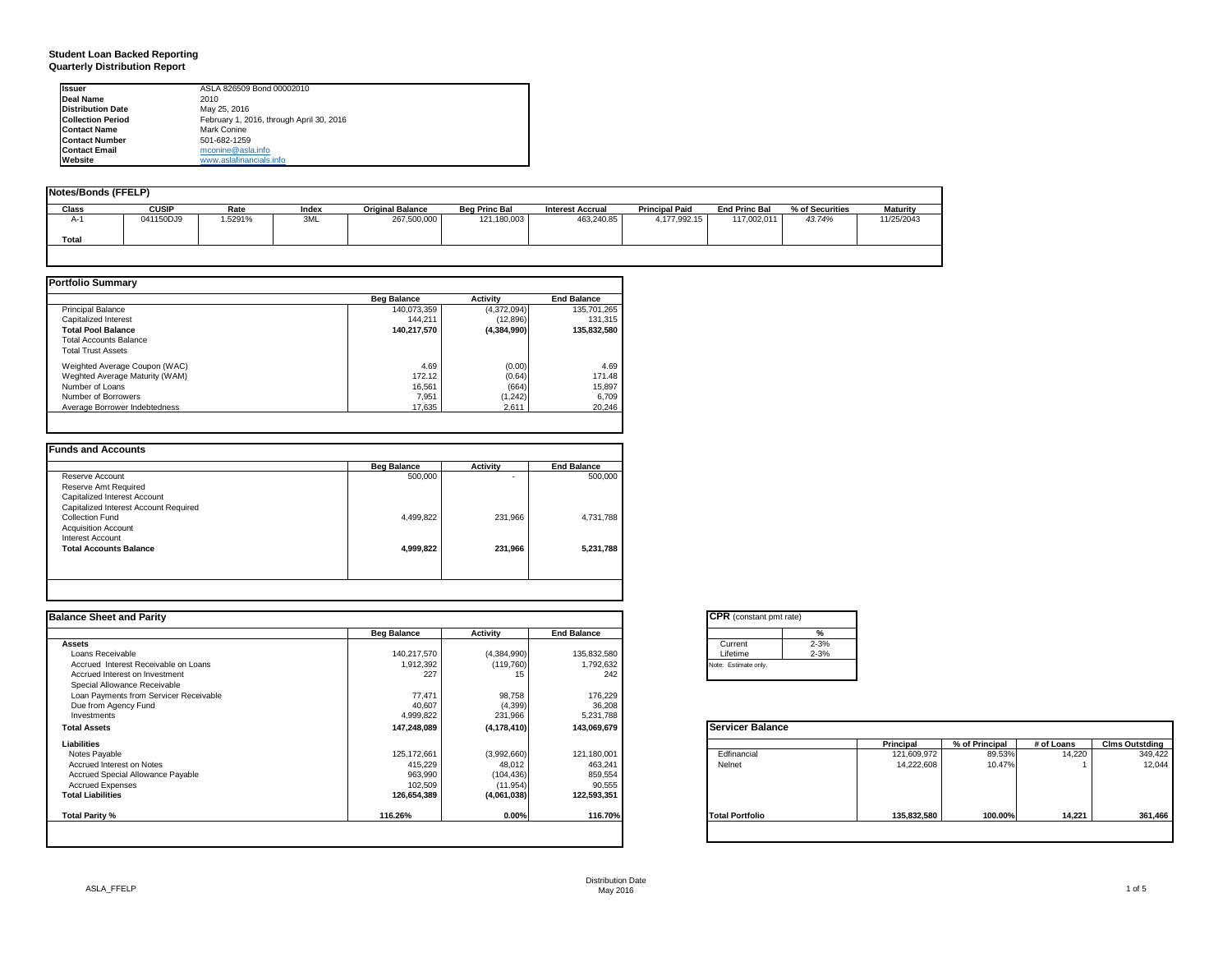## **Student Loan Backed Reporting Quarterly Distribution Report**

| Issuer                   | ASLA 826509 Bond 00002010                |  |
|--------------------------|------------------------------------------|--|
| Deal Name                | 2010                                     |  |
| <b>Distribution Date</b> | May 25, 2016                             |  |
| <b>Collection Period</b> | February 1, 2016, through April 30, 2016 |  |
| <b>Contact Name</b>      | Mark Conine                              |  |
| <b>Contact Number</b>    | 501-682-1259                             |  |
| <b>Contact Email</b>     | mconine@asla.info                        |  |
| Website                  | www.aslafinancials.info                  |  |

| <b>Notes/Bonds (FFELP)</b> |              |         |       |                         |                      |                         |                       |                      |                 |                 |
|----------------------------|--------------|---------|-------|-------------------------|----------------------|-------------------------|-----------------------|----------------------|-----------------|-----------------|
| Class                      | <b>CUSIP</b> | Rate    | Index | <b>Original Balance</b> | <b>Bea Princ Bal</b> | <b>Interest Accrual</b> | <b>Principal Paid</b> | <b>End Princ Bal</b> | % of Securities | <b>Maturity</b> |
| $A-$                       | 041150DJ9    | 1.5291% | 3ML   | 267,500,000             | 121,180,003          | 463.240.85              | 4.177.992.15          | 117.002.011          | 43.74%          | 11/25/2043      |
| Total                      |              |         |       |                         |                      |                         |                       |                      |                 |                 |

|                                | <b>Beg Balance</b> | <b>Activity</b> | <b>End Balance</b> |
|--------------------------------|--------------------|-----------------|--------------------|
| <b>Principal Balance</b>       | 140,073,359        | (4,372,094)     | 135,701,265        |
| Capitalized Interest           | 144.211            | (12,896)        | 131.315            |
| <b>Total Pool Balance</b>      | 140,217,570        | (4,384,990)     | 135.832.580        |
| <b>Total Accounts Balance</b>  |                    |                 |                    |
| <b>Total Trust Assets</b>      |                    |                 |                    |
| Weighted Average Coupon (WAC)  | 4.69               | (0.00)          | 4.69               |
| Weghted Average Maturity (WAM) | 172.12             | (0.64)          | 171.48             |
| Number of Loans                | 16.561             | (664)           | 15,897             |
| Number of Borrowers            | 7.951              | (1,242)         | 6,709              |
| Average Borrower Indebtedness  | 17.635             | 2.611           | 20,246             |

|           |         | <b>End Balance</b> |
|-----------|---------|--------------------|
| 500,000   | ۰       | 500,000            |
|           |         |                    |
|           |         |                    |
|           |         |                    |
| 4,499,822 | 231,966 | 4,731,788          |
|           |         |                    |
|           |         |                    |
| 4,999,822 | 231,966 | 5,231,788          |
|           |         |                    |
|           |         |                    |

| <b>Balance Sheet and Parity</b>        |                    |               |                    | <b>CPR</b> (constant pmt rate) |             |                |            |                       |
|----------------------------------------|--------------------|---------------|--------------------|--------------------------------|-------------|----------------|------------|-----------------------|
|                                        | <b>Beg Balance</b> | Activity      | <b>End Balance</b> | %                              |             |                |            |                       |
| <b>Assets</b>                          |                    |               |                    | $2 - 3%$<br>Current            |             |                |            |                       |
| Loans Receivable                       | 140,217,570        | (4,384,990)   | 135,832,580        | $2 - 3%$<br>Lifetime           |             |                |            |                       |
| Accrued Interest Receivable on Loans   | 1,912,392          | (119, 760)    | 1,792,632          | Note: Estimate only.           |             |                |            |                       |
| Accrued Interest on Investment         | 227                |               | 242                |                                |             |                |            |                       |
| Special Allowance Receivable           |                    |               |                    |                                |             |                |            |                       |
| Loan Payments from Servicer Receivable | 77,471             | 98,758        | 176,229            |                                |             |                |            |                       |
| Due from Agency Fund                   | 40,607             | (4, 399)      | 36,208             |                                |             |                |            |                       |
| Investments                            | 4,999,822          | 231,966       | 5,231,788          |                                |             |                |            |                       |
| <b>Total Assets</b>                    | 147,248,089        | (4, 178, 410) | 143,069,679        | <b>Servicer Balance</b>        |             |                |            |                       |
| Liabilities                            |                    |               |                    |                                | Principal   | % of Principal | # of Loans | <b>Clms Outstding</b> |
| Notes Payable                          | 125,172,661        | (3,992,660)   | 121,180,001        | Edfinancial                    | 121,609,972 | 89.53%         | 14,220     | 349,422               |
| Accrued Interest on Notes              | 415,229            | 48,012        | 463,241            | Nelnet                         | 14,222,608  | 10.47%         |            | 12,044                |
| Accrued Special Allowance Payable      | 963,990            | (104, 436)    | 859,554            |                                |             |                |            |                       |
| <b>Accrued Expenses</b>                | 102,509            | (11, 954)     | 90,555             |                                |             |                |            |                       |
| <b>Total Liabilities</b>               | 126,654,389        | (4,061,038)   | 122,593,351        |                                |             |                |            |                       |
| <b>Total Parity %</b>                  | 116.26%            | 0.00%         | 116.70%            | <b>Total Portfolio</b>         | 135,832,580 | 100.00%        | 14,221     | 361,466               |
|                                        |                    |               |                    |                                |             |                |            |                       |

|          | %        |
|----------|----------|
| Current  | $2 - 3%$ |
| Lifetime | $2 - 3%$ |

|                        | <b>Principal</b> | % of Principal | # of Loans | <b>Clms Outstding</b> |
|------------------------|------------------|----------------|------------|-----------------------|
| Edfinancial            | 121,609,972      | 89.53%         | 14,220     | 349,422               |
| Nelnet                 | 14,222,608       | 10.47%         |            | 12,044                |
| <b>Total Portfolio</b> | 135,832,580      | 100.00%        | 14,221     | 361,466               |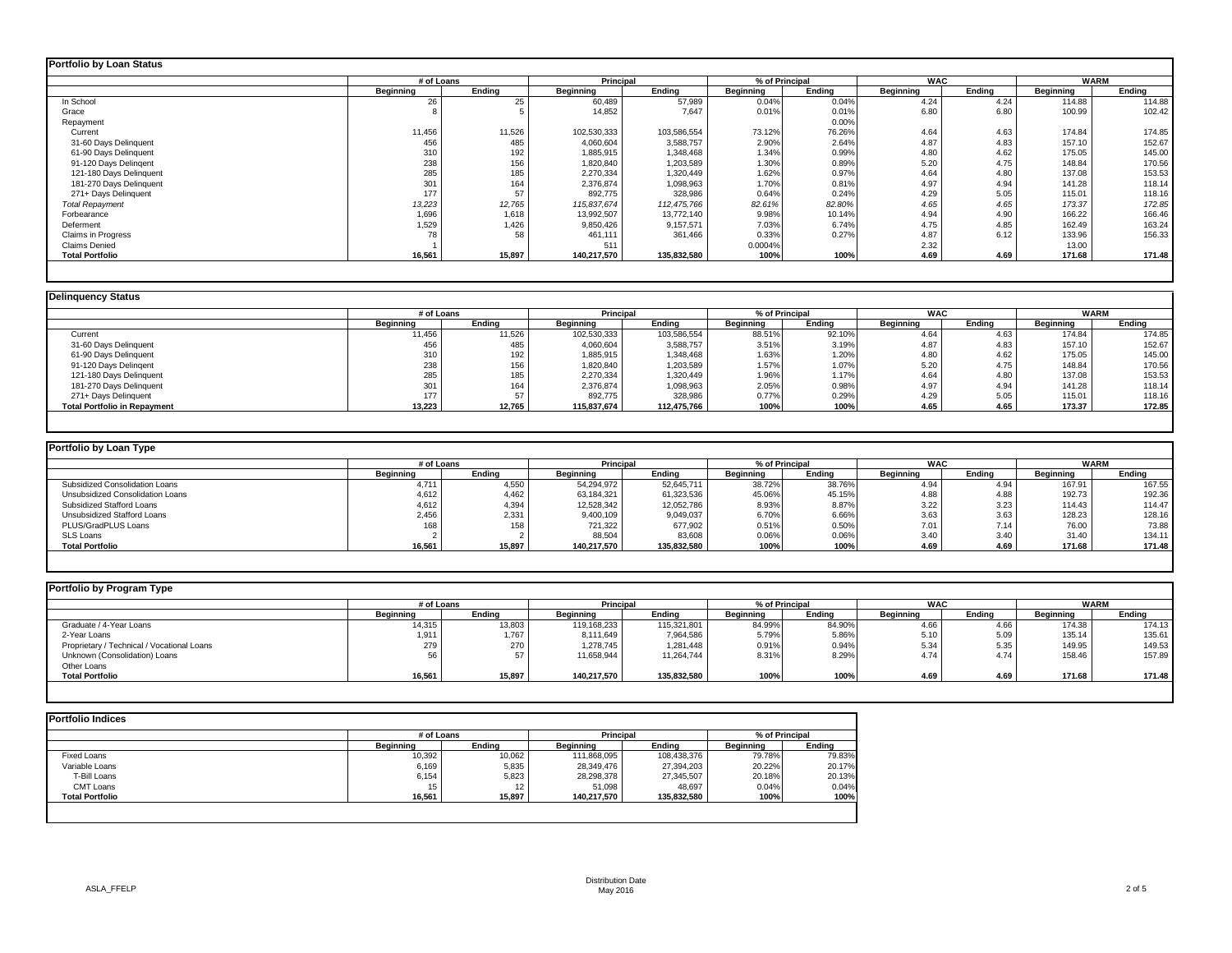| <b>Portfolio by Loan Status</b> |                  |        |                  |             |           |                |            |        |           |        |
|---------------------------------|------------------|--------|------------------|-------------|-----------|----------------|------------|--------|-----------|--------|
|                                 | # of Loans       |        | Principal        |             |           | % of Principal | <b>WAC</b> |        | WARM      |        |
|                                 | <b>Beginning</b> | Endina | <b>Beginning</b> | Ending      | Beginning | Ending         | Beginning  | Ending | Beginning | Ending |
| In School                       | 26               | 25     | 60,489           | 57,989      | 0.04%     | 0.04%          | 4.24       | 4.24   | 114.88    | 114.88 |
| Grace                           |                  |        | 14,852           | 7.647       | 0.01%     | 0.01%          | 6.80       | 6.80   | 100.99    | 102.42 |
| Repayment                       |                  |        |                  |             |           | 0.00%          |            |        |           |        |
| Current                         | 11,456           | 11,526 | 102,530,333      | 103,586,554 | 73.12%    | 76.26%         | 4.64       | 4.63   | 174.84    | 174.85 |
| 31-60 Days Delinquent           | 456              | 485    | 4.060.604        | 3,588,757   | 2.90%     | 2.64%          | 4.87       | 4.83   | 157.10    | 152.67 |
| 61-90 Days Delinquent           | 310              | 192    | 1,885,915        | 1,348,468   | 1.34%     | 0.99%          | 4.80       | 4.62   | 175.05    | 145.00 |
| 91-120 Days Delingent           | 238              | 156    | 1,820,840        | 1,203,589   | 1.30%     | 0.89%          | 5.20       | 4.75   | 148.84    | 170.56 |
| 121-180 Days Delinquent         | 285              | 185    | 2,270,334        | 1,320,449   | 1.62%     | 0.97%          | 4.64       | 4.80   | 137.08    | 153.53 |
| 181-270 Days Delinquent         | 301              | 164    | 2,376,874        | 1,098,963   | 1.70%     | 0.81%          | 4.97       | 4.94   | 141.28    | 118.14 |
| 271+ Days Delinquent            | 177              | 57     | 892,775          | 328,986     | 0.64%     | 0.24%          | 4.29       | 5.05   | 115.01    | 118.16 |
| <b>Total Repayment</b>          | 13,223           | 12,765 | 115,837,674      | 112,475,766 | 82.61%    | 82.80%         | 4.65       | 4.65   | 173.37    | 172.85 |
| Forbearance                     | 1,696            | 1,618  | 13,992,507       | 13,772,140  | 9.98%     | 10.14%         | 4.94       | 4.90   | 166.22    | 166.46 |
| Deferment                       | 1,529            | 1,426  | 9,850,426        | 9,157,571   | 7.03%     | 6.74%          | 4.75       | 4.85   | 162.49    | 163.24 |
| <b>Claims in Progress</b>       | 78               | 58     | 461.111          | 361,466     | 0.33%     | 0.27%          | 4.87       | 6.12   | 133.96    | 156.33 |
| <b>Claims Denied</b>            |                  |        | 511              |             | 0.0004%   |                | 2.32       |        | 13.00     |        |
| <b>Total Portfolio</b>          | 16,561           | 15,897 | 140,217,570      | 135,832,580 | 100%      | 100%           | 4.69       | 4.69   | 171.68    | 171.48 |
|                                 |                  |        |                  |             |           |                |            |        |           |        |

| <b>Delinguency Status</b>           |            |        |                  |             |           |                |                  |        |                  |             |
|-------------------------------------|------------|--------|------------------|-------------|-----------|----------------|------------------|--------|------------------|-------------|
|                                     | # of Loans |        | Principal        |             |           | % of Principal | <b>WAC</b>       |        |                  | <b>WARM</b> |
|                                     | Beainnina  | Endina | <b>Beainning</b> | Endina      | Beainnina | Endina         | <b>Beainning</b> | Endina | <b>Beainning</b> | Endina      |
| Current                             | 11,456     | 11,526 | 102.530.333      | 103,586,554 | 88.51%    | 92.10%         | 4.64             | 4.63   | 174.84           | 174.85      |
| 31-60 Days Delinquent               | 456        | 485    | 4,060,604        | 3,588,757   | 3.51%     | 3.19%          | 4.87             | 4.83   | 157.10           | 152.67      |
| 61-90 Days Delinquent               | 310        | 192    | 1,885,915        | 1,348,468   | 1.63%     | 1.20%          | 4.80             | 4.62   | 175.05           | 145.00      |
| 91-120 Days Delingent               | 238        | 156    | 1,820,840        | 1,203,589   | 1.57%     | 1.07%          | 5.20             | 4.75   | 148.84           | 170.56      |
| 121-180 Days Delinquent             | 285        | 185    | 2,270,334        | 1,320,449   | 1.96%     | 1.17%          | 4.64             | 4.80   | 137.08           | 153.53      |
| 181-270 Days Delinquent             | 301        | 164    | 2,376,874        | 1,098,963   | 2.05%     | 0.98%          | 4.97             | 4.94   | 141.28           | 118.14      |
| 271+ Days Delinquent                | 177        |        | 892,775          | 328,986     | 0.77%     | 0.29%          | 4.29             | 5.05   | 115.01           | 118.16      |
| <b>Total Portfolio in Repayment</b> | 13,223     | 12.765 | 115.837.674      | 112,475,766 | 100%      | 100%           | 4.65             | 4.65   | 173.37           | 172.85      |
|                                     |            |        |                  |             |           |                |                  |        |                  |             |

| Portfolio by Loan Type           |            |        |             |             |           |                |            |        |             |        |
|----------------------------------|------------|--------|-------------|-------------|-----------|----------------|------------|--------|-------------|--------|
|                                  | # of Loans |        | Principal   |             |           | % of Principal | <b>WAC</b> |        | <b>WARM</b> |        |
|                                  | Beginning  | Endina | Beginning   | Endina      | Beainnina | Ending         | Beginning  | Ending | Beginning   | Ending |
| Subsidized Consolidation Loans   | 4.71       | 4,550  | 54.294.972  | 52,645,711  | 38.72%    | 38.76%         | 4.94       | 4.94   | 167.91      | 167.55 |
| Unsubsidized Consolidation Loans | 4.612      | 4.462  | 63,184,321  | 61,323,536  | 45.06%    | 45.15%         | 4.88       | 4.88   | 192.73      | 192.36 |
| Subsidized Stafford Loans        | 4,612      | 4,394  | 12,528,342  | 12,052,786  | 8.93%     | 8.87%          | 3.22       | 3.23   | 114.43      | 114.47 |
| Unsubsidized Stafford Loans      | 2,456      | 2,331  | 9,400,109   | 9,049,037   | 6.70%     | 6.66%          | 3.63       | 3.63   | 128.23      | 128.16 |
| PLUS/GradPLUS Loans              |            | 158    | 721.322     | 677.902     | 0.51%     | 0.50%          | 7.01       | 7.14   | 76.00       | 73.88  |
| <b>SLS Loans</b>                 |            |        | 88,504      | 83,608      | 0.06%     | 0.06%          | 3.40       | 3.40   | 31.40       | 134.11 |
| <b>Total Portfolio</b>           | 16.561     | 15,897 | 140.217.570 | 135,832,580 | 100%      | 100%           | 4.69       | 4.69   | 171.68      | 171.48 |

| Portfolio by Program Type                  |                  |        |                  |             |                  |                |            |        |           |             |
|--------------------------------------------|------------------|--------|------------------|-------------|------------------|----------------|------------|--------|-----------|-------------|
|                                            | # of Loans       |        | <b>Principal</b> |             |                  | % of Principal | <b>WAC</b> |        |           | <b>WARM</b> |
|                                            | <b>Beginning</b> | Ending | <b>Beainning</b> | Endina      | <b>Beginning</b> | Endina         | Beginning  | Ending | Beginning | Ending      |
| Graduate / 4-Year Loans                    | 14,315           | 13,803 | 119,168,233      | 115,321,801 | 84.99%           | 84.90%         | 4.66       | 4.66   | 174.38    | 174.13      |
| 2-Year Loans                               | 1,911            | 1,767  | 8,111,649        | 7,964,586   | 5.79%            | 5.86%          | 5.10       | 5.09   | 135.14    | 135.61      |
| Proprietary / Technical / Vocational Loans | 279              | 270    | 1,278,745        | 1,281,448   | 0.91%            | 0.94%          | 5.34       | 5.35   | 149.95    | 149.53      |
| Unknown (Consolidation) Loans              |                  |        | 11,658,944       | 11.264.744  | 8.31%            | 8.29%          | 4.74       | 4.74   | 158.46    | 157.89      |
| Other Loans                                |                  |        |                  |             |                  |                |            |        |           |             |
| <b>Total Portfolio</b>                     | 16,561           | 15,897 | 140,217,570      | 135,832,580 | 100%             | 100%           | 4.69       | 4.69   | 171.68    | 171.48      |
|                                            |                  |        |                  |             |                  |                |            |        |           |             |

|                        | # of Loans |        | <b>Principal</b> |             | % of Principal |        |
|------------------------|------------|--------|------------------|-------------|----------------|--------|
|                        | Beainnina  | Endina | Beainnina        | Endina      | Beainnina      | Endina |
| Fixed Loans            | 10,392     | 10,062 | 111,868,095      | 108,438,376 | 79.78%         | 79.83% |
| Variable Loans         | 6,169      | 5,835  | 28,349,476       | 27,394,203  | 20.22%         | 20.17% |
| T-Bill Loans           | 6,154      | 5,823  | 28,298,378       | 27,345,507  | 20.18%         | 20.13% |
| <b>CMT Loans</b>       | 15         |        | 51,098           | 48.697      | 0.04%          | 0.04%  |
| <b>Total Portfolio</b> | 16.561     | 15.897 | 140.217.570      | 135,832,580 | 100%           | 100%   |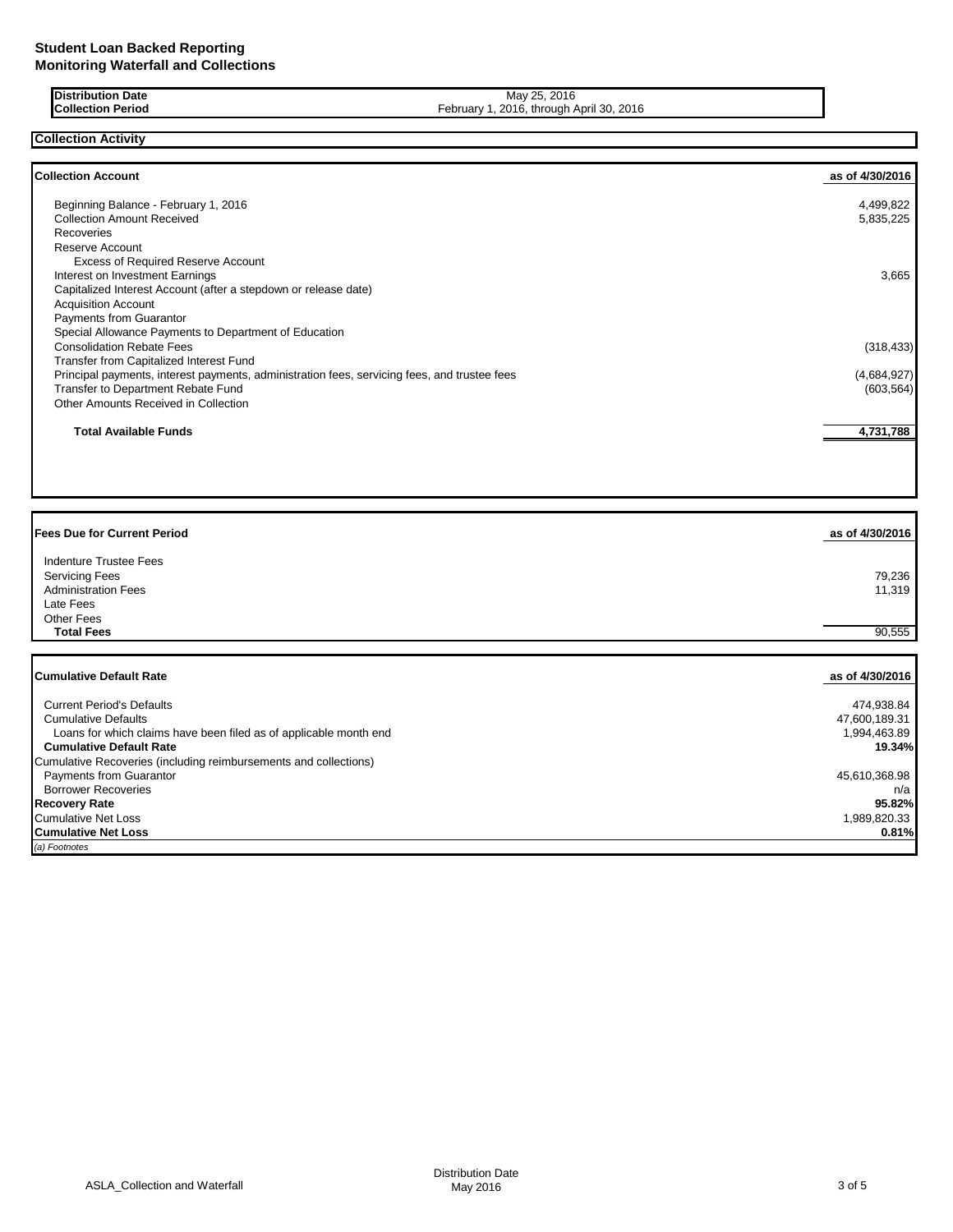**Distribution Date Collection Period**

May 25, 2016 February 1, 2016, through April 30, 2016

**Collection Activity**

| <b>Collection Account</b>                                                                    | as of 4/30/2016 |
|----------------------------------------------------------------------------------------------|-----------------|
| Beginning Balance - February 1, 2016                                                         | 4,499,822       |
| <b>Collection Amount Received</b>                                                            | 5,835,225       |
| Recoveries                                                                                   |                 |
| Reserve Account                                                                              |                 |
| <b>Excess of Required Reserve Account</b>                                                    |                 |
| Interest on Investment Earnings                                                              | 3,665           |
| Capitalized Interest Account (after a stepdown or release date)                              |                 |
| <b>Acquisition Account</b>                                                                   |                 |
| Payments from Guarantor                                                                      |                 |
| Special Allowance Payments to Department of Education                                        |                 |
| <b>Consolidation Rebate Fees</b>                                                             | (318, 433)      |
| Transfer from Capitalized Interest Fund                                                      |                 |
| Principal payments, interest payments, administration fees, servicing fees, and trustee fees | (4,684,927)     |
| Transfer to Department Rebate Fund                                                           | (603, 564)      |
| Other Amounts Received in Collection                                                         |                 |
| <b>Total Available Funds</b>                                                                 | 4,731,788       |

| <b>Fees Due for Current Period</b>                                | as of 4/30/2016 |
|-------------------------------------------------------------------|-----------------|
| Indenture Trustee Fees                                            |                 |
| <b>Servicing Fees</b>                                             | 79,236          |
| <b>Administration Fees</b>                                        | 11,319          |
| Late Fees                                                         |                 |
| <b>Other Fees</b>                                                 |                 |
| <b>Total Fees</b>                                                 | 90,555          |
|                                                                   |                 |
|                                                                   |                 |
| <b>Cumulative Default Rate</b>                                    | as of 4/30/2016 |
| <b>Current Period's Defaults</b>                                  | 474,938.84      |
| <b>Cumulative Defaults</b>                                        | 47,600,189.31   |
| Loans for which claims have been filed as of applicable month end | 1,994,463.89    |
| <b>Cumulative Default Rate</b>                                    | 19.34%          |
| Cumulative Recoveries (including reimbursements and collections)  |                 |
| Payments from Guarantor                                           | 45,610,368.98   |
| <b>Borrower Recoveries</b>                                        | n/a             |
| <b>Recovery Rate</b>                                              | 95.82%          |
| <b>Cumulative Net Loss</b>                                        | 1,989,820.33    |
| <b>Cumulative Net Loss</b>                                        | 0.81%           |
| (a) Footnotes                                                     |                 |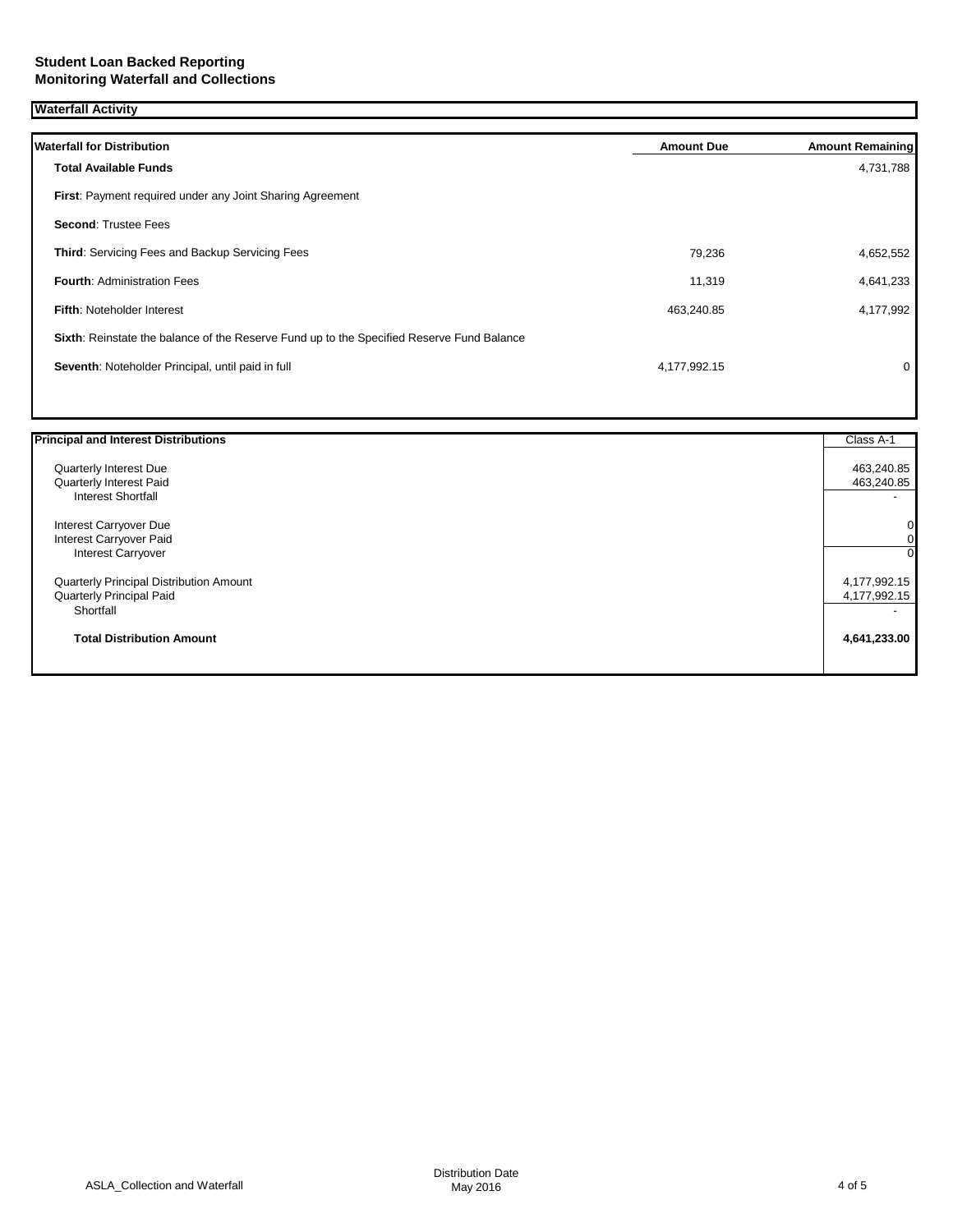## **Waterfall Activity**

| <b>Waterfall for Distribution</b>                                                         | <b>Amount Due</b> | <b>Amount Remaining</b> |
|-------------------------------------------------------------------------------------------|-------------------|-------------------------|
| <b>Total Available Funds</b>                                                              |                   | 4,731,788               |
| First: Payment required under any Joint Sharing Agreement                                 |                   |                         |
| <b>Second: Trustee Fees</b>                                                               |                   |                         |
| Third: Servicing Fees and Backup Servicing Fees                                           | 79,236            | 4,652,552               |
| <b>Fourth: Administration Fees</b>                                                        | 11,319            | 4,641,233               |
| <b>Fifth: Noteholder Interest</b>                                                         | 463,240.85        | 4,177,992               |
| Sixth: Reinstate the balance of the Reserve Fund up to the Specified Reserve Fund Balance |                   |                         |
| Seventh: Noteholder Principal, until paid in full                                         | 4,177,992.15      | 0                       |
|                                                                                           |                   |                         |

| <b>Principal and Interest Distributions</b> | Class A-1    |
|---------------------------------------------|--------------|
| Quarterly Interest Due                      | 463,240.85   |
| Quarterly Interest Paid                     | 463,240.85   |
| <b>Interest Shortfall</b>                   |              |
| Interest Carryover Due                      | 0            |
| Interest Carryover Paid                     | 0            |
| <b>Interest Carryover</b>                   | $\Omega$     |
| Quarterly Principal Distribution Amount     | 4,177,992.15 |
| Quarterly Principal Paid                    | 4,177,992.15 |
| Shortfall                                   | -            |
| <b>Total Distribution Amount</b>            | 4,641,233.00 |
|                                             |              |